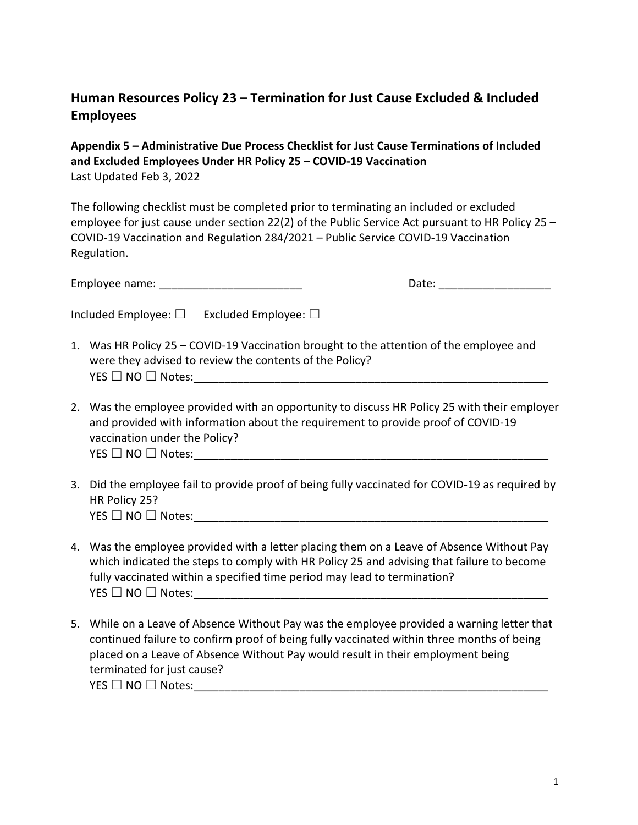## **Human Resources Policy 23 – Termination for Just Cause Excluded & Included Employees**

**Appendix 5 – Administrative Due Process Checklist for Just Cause Terminations of Included and Excluded Employees Under HR Policy 25 – COVID-19 Vaccination** Last Updated Feb 3, 2022

The following checklist must be completed prior to terminating an included or excluded employee for just cause under section 22(2) of the Public Service Act pursuant to HR Policy 25 – COVID-19 Vaccination and Regulation 284/2021 – Public Service COVID-19 Vaccination Regulation.

Employee name: \_\_\_\_\_\_\_\_\_\_\_\_\_\_\_\_\_\_\_\_\_\_\_ Date: \_\_\_\_\_\_\_\_\_\_\_\_\_\_\_\_\_\_

- 1. Was HR Policy 25 COVID-19 Vaccination brought to the attention of the employee and were they advised to review the contents of the Policy? YES ☐ NO ☐ Notes:\_\_\_\_\_\_\_\_\_\_\_\_\_\_\_\_\_\_\_\_\_\_\_\_\_\_\_\_\_\_\_\_\_\_\_\_\_\_\_\_\_\_\_\_\_\_\_\_\_\_\_\_\_\_\_\_\_
- 2. Was the employee provided with an opportunity to discuss HR Policy 25 with their employer and provided with information about the requirement to provide proof of COVID-19 vaccination under the Policy?  $\mathsf{YES} \ \Box \ \mathsf{NO} \ \Box \ \mathsf{Notes:} \_$
- 3. Did the employee fail to provide proof of being fully vaccinated for COVID-19 as required by HR Policy 25?  $\mathsf{YES} \ \Box \ \mathsf{NO} \ \Box \ \mathsf{Notes:}$
- 4. Was the employee provided with a letter placing them on a Leave of Absence Without Pay which indicated the steps to comply with HR Policy 25 and advising that failure to become fully vaccinated within a specified time period may lead to termination? YES ☐ NO ☐ Notes:\_\_\_\_\_\_\_\_\_\_\_\_\_\_\_\_\_\_\_\_\_\_\_\_\_\_\_\_\_\_\_\_\_\_\_\_\_\_\_\_\_\_\_\_\_\_\_\_\_\_\_\_\_\_\_\_\_
- 5. While on a Leave of Absence Without Pay was the employee provided a warning letter that continued failure to confirm proof of being fully vaccinated within three months of being placed on a Leave of Absence Without Pay would result in their employment being terminated for just cause?  $\mathsf{YES}\ \Box \ \mathsf{NO}\ \Box \ \mathsf{Notes:}\ \mathsf{...}$